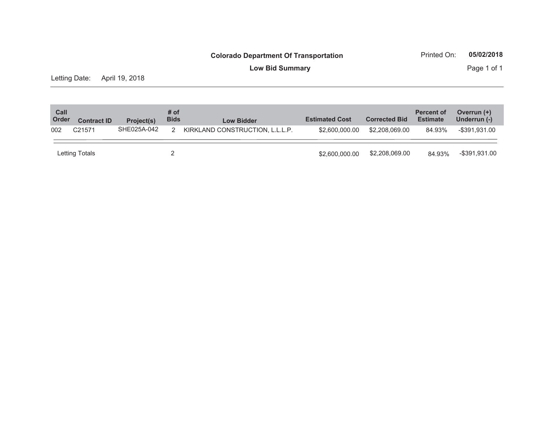**Low Bid Summary** Page 1 of 1

Letting Date: April 19, 2018

| Call<br>Order | <b>Contract ID</b> | Project(s)  | # of<br><b>Bids</b> | <b>Low Bidder</b>               | <b>Estimated Cost</b> | <b>Corrected Bid</b> | <b>Percent of</b><br><b>Estimate</b> | Overrun (+)<br>Underrun (-) |
|---------------|--------------------|-------------|---------------------|---------------------------------|-----------------------|----------------------|--------------------------------------|-----------------------------|
| 002           | C <sub>21571</sub> | SHE025A-042 | 2                   | KIRKLAND CONSTRUCTION, L.L.L.P. | \$2,600,000,00        | \$2,208,069,00       | 84.93%                               | $-$ \$391,931.00            |
|               | Letting Totals     |             |                     |                                 | \$2,600,000,00        | \$2,208,069.00       | 84.93%                               | -\$391,931.00               |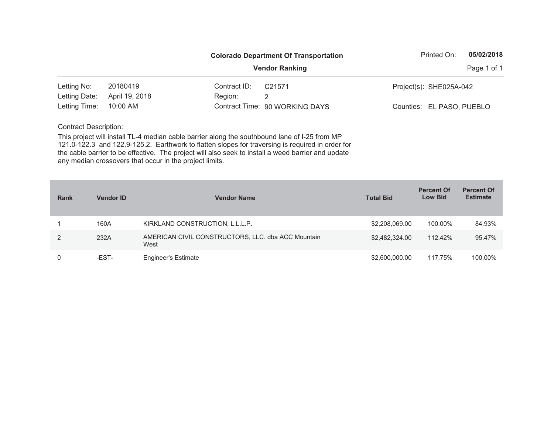|               |                |              | <b>Colorado Department Of Transportation</b> | Printed On:               | 05/02/2018  |
|---------------|----------------|--------------|----------------------------------------------|---------------------------|-------------|
|               |                |              | <b>Vendor Ranking</b>                        |                           | Page 1 of 1 |
| Letting No:   | 20180419       | Contract ID: | C <sub>21571</sub>                           | Project(s): SHE025A-042   |             |
| Letting Date: | April 19, 2018 | Region:      | 2                                            |                           |             |
| Letting Time: | $10:00$ AM     |              | Contract Time: 90 WORKING DAYS               | Counties: EL PASO, PUEBLO |             |

| <b>Rank</b> | <b>Vendor ID</b> | <b>Vendor Name</b>                                         | <b>Total Bid</b> | <b>Percent Of</b><br><b>Low Bid</b> | <b>Percent Of</b><br><b>Estimate</b> |
|-------------|------------------|------------------------------------------------------------|------------------|-------------------------------------|--------------------------------------|
|             | 160A             | KIRKLAND CONSTRUCTION, L.L.L.P.                            | \$2,208,069.00   | 100.00%                             | 84.93%                               |
| 2           | 232A             | AMERICAN CIVIL CONSTRUCTORS, LLC. dba ACC Mountain<br>West | \$2,482,324.00   | 112.42%                             | 95.47%                               |
| 0           | -EST-            | <b>Engineer's Estimate</b>                                 | \$2,600,000.00   | 117.75%                             | 100.00%                              |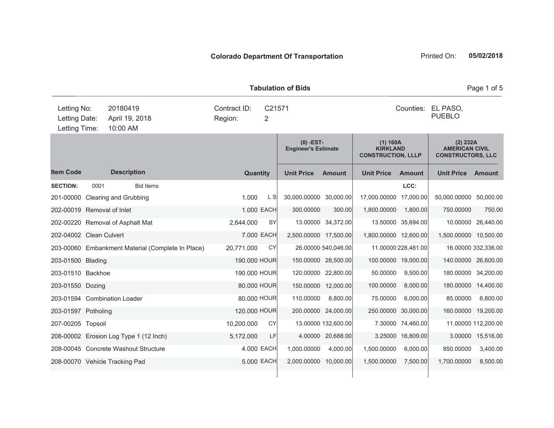**Item Code Quantity Unit Price Amount Unit Price Amount Unit Price Amount (0) -EST-Engineer's Estimate (1) 160A KIRKLAND CONSTRUCTION, LLLP (2) 232A AMERICAN CIVILCONSTRUCTORS, LLC Description SECTION:** 0001 Bid Items **LCC:** 201-00000 Clearing and Grubbing 201-00000 1.000 L S 30,000.00000 30,000.00 17,000.0000 17,000.00 50,000.000 50,000.00 202-00019 Removal of Inlet 1.000 EACH 300.00000 300.00 1,800.00000 1,800.00 750.00000 750.00 202-00220 Removal of Asphalt Mat 2,644.000 SY 13.00000 34,372.00 13.50000 35,694.00 10.00000 26,440.00 202-04002 Clean Culvert 7.000 EACH 2,500.00000 17,500.00 1,800.00000 12,600.00 1,500.00000 10,500.00 203-00060 Embankment Material (Complete In Place) 20,771.000 CY 26.00000 540,046.00 11.00000 228,481.00 16.00000 332,336.00 203-01500 Blading 190.000 HOUR 150.00000 28,500.00 100.00000 19,000.00 140.00000 26,600.00 203-01510 Backhoe 190.000 HOUR 120.00000 22,800.00 50.00000 9,500.00 180.00000 34,200.00 203-01550 Dozing 80.000 HOUR 150.00000 12,000.00 100.00000 8,000.00 180.00000 14,400.00 203-01594 Combination Loader 80.000 HOUR 110.00000 8,800.00 75.00000 6,000.00 85.00000 6,800.00 203-01597 Potholing 120.000 HOUR 200.00000 24,000.00 250.00000 30,000.00 160.00000 19,200.00 207-00205 Topsoil 10,200.000 CY 13.00000 132,600.00 7.30000 74,460.00 11.00000 112,200.00 208-00002 Erosion Log Type 1 (12 Inch) 5,172.000 LF 4.00000 20,688.00 3.25000 16,809.00 3.00000 15,516.00 208-00045 Concrete Washout Structure 4.000 EACH 1,000.00000 4,000.00 1,500.00000 6,000.00 850.00000 3,400.00 208-00070 Vehicle Tracking Pad 5.000 EACH 2,000.00000 10,000.00 1,500.00000 7,500.00 1,700.00000 8,500.00 **Tabulation of Bids**10:00 AMCounties: EL PASO, Letting Date: April 19, 2018 <sup>2</sup> PUEBLO C21571Region: Letting Time: Letting No: 20180419 Contract ID: Counties:

Page 1 of 5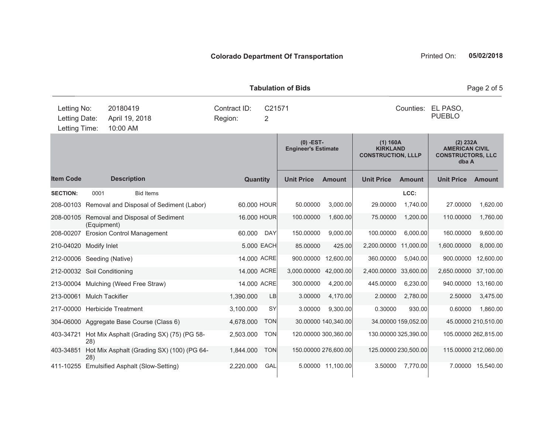|                                               |             |                                             |  |                         |                          | <b>Tabulation of Bids</b>                 |                      |                                                          |                      |                                                                        | Page 2 of 5         |
|-----------------------------------------------|-------------|---------------------------------------------|--|-------------------------|--------------------------|-------------------------------------------|----------------------|----------------------------------------------------------|----------------------|------------------------------------------------------------------------|---------------------|
| Letting No:<br>Letting Date:<br>Letting Time: |             | 20180419<br>April 19, 2018<br>10:00 AM      |  | Contract ID:<br>Region: | C21571<br>$\overline{2}$ |                                           |                      |                                                          | Counties:            | EL PASO,<br><b>PUEBLO</b>                                              |                     |
|                                               |             |                                             |  |                         |                          | $(0)$ -EST-<br><b>Engineer's Estimate</b> |                      | (1) 160A<br><b>KIRKLAND</b><br><b>CONSTRUCTION, LLLP</b> |                      | (2) 232A<br><b>AMERICAN CIVIL</b><br><b>CONSTRUCTORS, LLC</b><br>dba A |                     |
| <b>Item Code</b>                              |             | <b>Description</b>                          |  | Quantity                |                          | <b>Unit Price</b>                         | <b>Amount</b>        | <b>Unit Price</b>                                        | <b>Amount</b>        | <b>Unit Price</b>                                                      | <b>Amount</b>       |
| <b>SECTION:</b>                               | 0001        | <b>Bid Items</b>                            |  |                         |                          |                                           |                      |                                                          | LCC:                 |                                                                        |                     |
| 208-00103                                     |             | Removal and Disposal of Sediment (Labor)    |  | 60,000 HOUR             |                          | 50.00000                                  | 3,000.00             | 29.00000                                                 | 1,740.00             | 27.00000                                                               | 1,620.00            |
| 208-00105                                     | (Equipment) | Removal and Disposal of Sediment            |  | 16.000 HOUR             |                          | 100.00000                                 | 1,600.00             | 75.00000                                                 | 1,200.00             | 110.00000                                                              | 1,760.00            |
| 208-00207                                     |             | <b>Erosion Control Management</b>           |  | 60.000                  | <b>DAY</b>               | 150.00000                                 | 9,000.00             | 100.00000                                                | 6,000.00             | 160.00000                                                              | 9,600.00            |
| 210-04020 Modify Inlet                        |             |                                             |  |                         | 5.000 EACH               | 85.00000                                  | 425.00               | 2,200.00000                                              | 11,000.00            | 1,600.00000                                                            | 8,000.00            |
| 212-00006 Seeding (Native)                    |             |                                             |  | 14.000 ACRE             |                          | 900.00000                                 | 12,600.00            | 360.00000                                                | 5,040.00             | 900.00000                                                              | 12,600.00           |
| 212-00032 Soil Conditioning                   |             |                                             |  | 14,000 ACRE             |                          | 3,000.00000                               | 42,000.00            | 2,400.00000                                              | 33,600.00            | 2,650.00000 37,100.00                                                  |                     |
|                                               |             | 213-00004 Mulching (Weed Free Straw)        |  | 14.000 ACRE             |                          | 300.00000                                 | 4,200.00             | 445.00000                                                | 6,230.00             | 940.00000                                                              | 13,160.00           |
| 213-00061 Mulch Tackifier                     |             |                                             |  | 1,390.000               | LB                       | 3.00000                                   | 4,170.00             | 2.00000                                                  | 2,780.00             | 2.50000                                                                | 3,475.00            |
|                                               |             | 217-00000 Herbicide Treatment               |  | 3,100.000               | SY                       | 3.00000                                   | 9,300.00             | 0.30000                                                  | 930.00               | 0.60000                                                                | 1,860.00            |
|                                               |             | 304-06000 Aggregate Base Course (Class 6)   |  | 4,678.000               | <b>TON</b>               |                                           | 30.00000 140,340.00  |                                                          | 34.00000 159,052.00  |                                                                        | 45.00000 210,510.00 |
| 403-34721                                     | 28)         | Hot Mix Asphalt (Grading SX) (75) (PG 58-   |  | 2,503.000               | <b>TON</b>               |                                           | 120.00000 300,360.00 |                                                          | 130.00000 325,390.00 | 105.00000 262,815.00                                                   |                     |
| 403-34851                                     | 28)         | Hot Mix Asphalt (Grading SX) (100) (PG 64-  |  | 1,844.000               | <b>TON</b>               |                                           | 150.00000 276,600.00 |                                                          | 125.00000 230,500.00 | 115.00000 212,060.00                                                   |                     |
|                                               |             | 411-10255 Emulsified Asphalt (Slow-Setting) |  | 2,220.000               | GAL                      |                                           | 5.00000 11,100.00    | 3.50000                                                  | 7,770.00             |                                                                        | 7.00000 15,540.00   |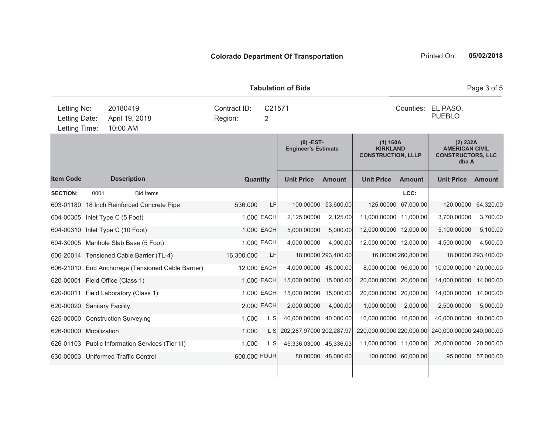|                                               |      |                                        |                                                   |                         |                     | <b>Tabulation of Bids</b>                 |                     |                                                          |                     |                                                                        | Page 3 of 5         |
|-----------------------------------------------|------|----------------------------------------|---------------------------------------------------|-------------------------|---------------------|-------------------------------------------|---------------------|----------------------------------------------------------|---------------------|------------------------------------------------------------------------|---------------------|
| Letting No:<br>Letting Date:<br>Letting Time: |      | 20180419<br>April 19, 2018<br>10:00 AM |                                                   | Contract ID:<br>Region: | C21571<br>2         |                                           |                     |                                                          | Counties:           | EL PASO,<br><b>PUEBLO</b>                                              |                     |
|                                               |      |                                        |                                                   |                         |                     | $(0)$ -EST-<br><b>Engineer's Estimate</b> |                     | (1) 160A<br><b>KIRKLAND</b><br><b>CONSTRUCTION, LLLP</b> |                     | (2) 232A<br><b>AMERICAN CIVIL</b><br><b>CONSTRUCTORS, LLC</b><br>dba A |                     |
| <b>Item Code</b>                              |      | <b>Description</b>                     |                                                   |                         | Quantity            | <b>Unit Price</b>                         | <b>Amount</b>       | <b>Unit Price</b>                                        | <b>Amount</b>       | <b>Unit Price</b>                                                      | <b>Amount</b>       |
| <b>SECTION:</b>                               | 0001 |                                        | <b>Bid Items</b>                                  |                         |                     |                                           |                     |                                                          | LCC:                |                                                                        |                     |
|                                               |      |                                        | 603-01180 18 Inch Reinforced Concrete Pipe        | 536.000                 | LF                  | 100.00000                                 | 53,600.00           | 125.00000                                                | 67,000.00           | 120.00000                                                              | 64,320.00           |
| 604-00305 Inlet Type C (5 Foot)               |      |                                        |                                                   |                         | 1.000 EACH          | 2,125.00000                               | 2,125.00            | 11,000.00000 11,000.00                                   |                     | 3,700.00000                                                            | 3,700.00            |
| 604-00310 Inlet Type C (10 Foot)              |      |                                        |                                                   |                         | 1.000 EACH          | 5,000.00000                               | 5,000.00            | 12,000.00000 12,000.00                                   |                     | 5,100.00000                                                            | 5,100.00            |
| 604-30005 Manhole Slab Base (5 Foot)          |      |                                        |                                                   |                         | 1.000 EACH          | 4,000.00000                               | 4,000.00            | 12,000.00000 12,000.00                                   |                     | 4,500.00000                                                            | 4,500.00            |
|                                               |      |                                        | 606-20014 Tensioned Cable Barrier (TL-4)          | 16,300.000              | LF                  |                                           | 18.00000 293,400.00 |                                                          | 16.00000 260,800.00 |                                                                        | 18.00000 293,400.00 |
|                                               |      |                                        | 606-21010 End Anchorage (Tensioned Cable Barrier) |                         | 12.000 EACH         | 4,000.00000 48,000.00                     |                     | 8,000.00000 96,000.00                                    |                     | 10,000.00000 120,000.00                                                |                     |
| 620-00001                                     |      | Field Office (Class 1)                 |                                                   |                         | 1.000 EACH          | 15,000.00000 15,000.00                    |                     | 20,000.00000 20,000.00                                   |                     | 14,000.00000 14,000.00                                                 |                     |
| 620-00011 Field Laboratory (Class 1)          |      |                                        |                                                   |                         | 1.000 EACH          | 15,000.00000 15,000.00                    |                     | 20,000.00000 20,000.00                                   |                     | 14,000.00000                                                           | 14,000.00           |
| 620-00020 Sanitary Facility                   |      |                                        |                                                   |                         | 2.000 EACH          | 2,000.00000                               | 4.000.00            | 1,000.00000                                              | 2,000.00            | 2,500.00000                                                            | 5,000.00            |
| 625-00000 Construction Surveying              |      |                                        |                                                   | 1.000                   | L S                 | 40,000.00000 40,000.00                    |                     | 16,000.00000 16,000.00                                   |                     | 40,000.00000 40,000.00                                                 |                     |
| 626-00000 Mobilization                        |      |                                        |                                                   | 1.000                   | $\lfloor S \rfloor$ | 202,287.97000 202,287.97                  |                     | 220,000.00000 220,000.00                                 |                     | 240,000.00000 240,000.00                                               |                     |
|                                               |      |                                        | 626-01103 Public Information Services (Tier III)  | 1.000                   | $\lfloor S \rfloor$ | 45,336.03000 45,336.03                    |                     | 11,000.00000 11,000.00                                   |                     | 20,000.00000 20,000.00                                                 |                     |
| 630-00003 Uniformed Traffic Control           |      |                                        |                                                   |                         | 600.000 HOUR        |                                           | 80.00000 48,000.00  |                                                          | 100.00000 60,000.00 |                                                                        | 95.00000 57,000.00  |
|                                               |      |                                        |                                                   |                         |                     |                                           |                     |                                                          |                     |                                                                        |                     |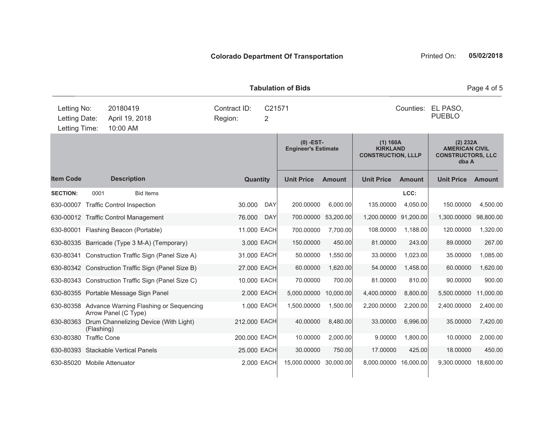|                                               |                     |                                                                          |                                        |            | <b>Tabulation of Bids</b>                 |               |                                                          |                                     |                                                                        | Page 4 of 5   |
|-----------------------------------------------|---------------------|--------------------------------------------------------------------------|----------------------------------------|------------|-------------------------------------------|---------------|----------------------------------------------------------|-------------------------------------|------------------------------------------------------------------------|---------------|
| Letting No:<br>Letting Date:<br>Letting Time: |                     | 20180419<br>April 19, 2018<br>10:00 AM                                   | Contract ID:<br>C21571<br>Region:<br>2 |            |                                           |               |                                                          | Counties: EL PASO,<br><b>PUEBLO</b> |                                                                        |               |
|                                               |                     |                                                                          |                                        |            | $(0)$ -EST-<br><b>Engineer's Estimate</b> |               | (1) 160A<br><b>KIRKLAND</b><br><b>CONSTRUCTION, LLLP</b> |                                     | (2) 232A<br><b>AMERICAN CIVIL</b><br><b>CONSTRUCTORS, LLC</b><br>dba A |               |
| <b>Item Code</b>                              |                     | <b>Description</b>                                                       | Quantity                               |            | <b>Unit Price</b>                         | <b>Amount</b> | <b>Unit Price</b>                                        | <b>Amount</b>                       | <b>Unit Price</b>                                                      | <b>Amount</b> |
| <b>SECTION:</b>                               | 0001                | <b>Bid Items</b>                                                         |                                        |            |                                           |               |                                                          | LCC:                                |                                                                        |               |
|                                               |                     | 630-00007 Traffic Control Inspection                                     | 30.000                                 | <b>DAY</b> | 200.00000                                 | 6,000.00      | 135.00000                                                | 4,050.00                            | 150.00000                                                              | 4,500.00      |
|                                               |                     | 630-00012 Traffic Control Management                                     | 76.000                                 | <b>DAY</b> | 700.00000                                 | 53,200.00     | 1,200.00000 91,200.00                                    |                                     | 1,300.00000                                                            | 98,800.00     |
|                                               |                     | 630-80001 Flashing Beacon (Portable)                                     | 11.000 EACH                            |            | 700.00000                                 | 7,700.00      | 108.00000                                                | 1,188.00                            | 120.00000                                                              | 1,320.00      |
|                                               |                     | 630-80335 Barricade (Type 3 M-A) (Temporary)                             |                                        | 3.000 EACH | 150.00000                                 | 450.00        | 81.00000                                                 | 243.00                              | 89.00000                                                               | 267.00        |
|                                               |                     | 630-80341 Construction Traffic Sign (Panel Size A)                       | 31.000 EACH                            |            | 50.00000                                  | 1,550.00      | 33.00000                                                 | 1,023.00                            | 35.00000                                                               | 1,085.00      |
|                                               |                     | 630-80342 Construction Traffic Sign (Panel Size B)                       | 27.000 EACH                            |            | 60.00000                                  | 1,620.00      | 54.00000                                                 | 1,458.00                            | 60.00000                                                               | 1,620.00      |
|                                               |                     | 630-80343 Construction Traffic Sign (Panel Size C)                       | 10.000 EACH                            |            | 70.00000                                  | 700.00        | 81.00000                                                 | 810.00                              | 90.00000                                                               | 900.00        |
|                                               |                     | 630-80355 Portable Message Sign Panel                                    |                                        | 2.000 EACH | 5,000.00000                               | 10,000.00     | 4,400.00000                                              | 8,800.00                            | 5,500.00000                                                            | 11,000.00     |
|                                               |                     | 630-80358 Advance Warning Flashing or Sequencing<br>Arrow Panel (C Type) |                                        | 1.000 EACH | 1,500.00000                               | 1,500.00      | 2,200.00000                                              | 2,200.00                            | 2,400.00000                                                            | 2,400.00      |
| 630-80363                                     | (Flashing)          | Drum Channelizing Device (With Light)                                    | 212.000 EACH                           |            | 40.00000                                  | 8,480.00      | 33.00000                                                 | 6,996.00                            | 35.00000                                                               | 7,420.00      |
| 630-80380                                     | <b>Traffic Cone</b> |                                                                          | 200.000 EACH                           |            | 10.00000                                  | 2,000.00      | 9.00000                                                  | 1.800.00                            | 10.00000                                                               | 2,000.00      |
|                                               |                     | 630-80393 Stackable Vertical Panels                                      | 25.000 EACH                            |            | 30.00000                                  | 750.00        | 17.00000                                                 | 425.00                              | 18.00000                                                               | 450.00        |
| 630-85020 Mobile Attenuator                   |                     |                                                                          |                                        | 2.000 EACH | 15,000.00000                              | 30,000.00     | 8,000.00000 16,000.00                                    |                                     | 9,300.00000                                                            | 18,600.00     |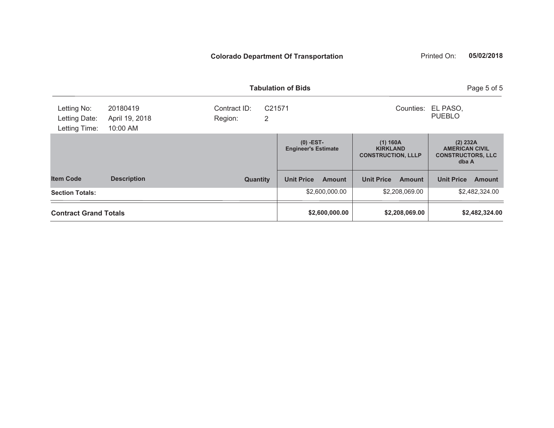|                                               |                                        |                                                    | <b>Tabulation of Bids</b>                 |                                                          | Page 5 of 5                                                            |
|-----------------------------------------------|----------------------------------------|----------------------------------------------------|-------------------------------------------|----------------------------------------------------------|------------------------------------------------------------------------|
| Letting No:<br>Letting Date:<br>Letting Time: | 20180419<br>April 19, 2018<br>10:00 AM | Contract ID:<br>C <sub>21571</sub><br>2<br>Region: |                                           | Counties:                                                | EL PASO,<br><b>PUEBLO</b>                                              |
|                                               |                                        |                                                    | $(0)$ -EST-<br><b>Engineer's Estimate</b> | (1) 160A<br><b>KIRKLAND</b><br><b>CONSTRUCTION, LLLP</b> | (2) 232A<br><b>AMERICAN CIVIL</b><br><b>CONSTRUCTORS, LLC</b><br>dba A |
| <b>Item Code</b>                              | <b>Description</b>                     | Quantity                                           | <b>Unit Price</b><br><b>Amount</b>        | <b>Unit Price</b><br><b>Amount</b>                       | <b>Unit Price</b><br><b>Amount</b>                                     |
| <b>Section Totals:</b>                        |                                        |                                                    | \$2,600,000.00                            | \$2,208,069.00                                           | \$2,482,324.00                                                         |
| <b>Contract Grand Totals</b>                  |                                        |                                                    | \$2,600,000.00                            | \$2,208,069.00                                           | \$2,482,324.00                                                         |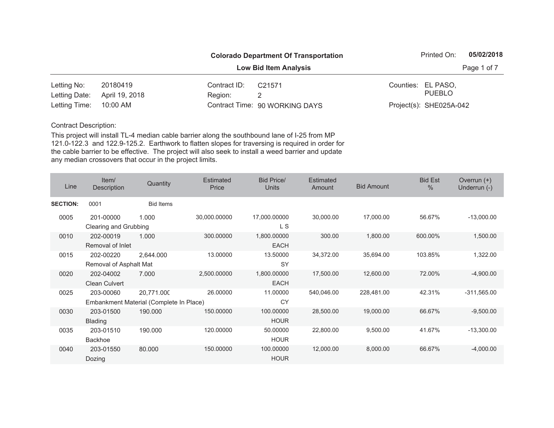|                        |                | <b>Colorado Department Of Transportation</b> |                                |  |                         |             |  |
|------------------------|----------------|----------------------------------------------|--------------------------------|--|-------------------------|-------------|--|
|                        |                |                                              | <b>Low Bid Item Analysis</b>   |  |                         | Page 1 of 7 |  |
| Letting No:            | 20180419       | Contract ID:                                 | C21571                         |  | Counties: EL PASO,      |             |  |
| Letting Date:          | April 19, 2018 | Region:                                      |                                |  | <b>PUEBLO</b>           |             |  |
| Letting Time: 10:00 AM |                |                                              | Contract Time: 90 WORKING DAYS |  | Project(s): SHE025A-042 |             |  |

| Line            | Item/<br>Description                | Quantity                                              | Estimated<br>Price | <b>Bid Price/</b><br><b>Units</b> | <b>Estimated</b><br>Amount | <b>Bid Amount</b> | <b>Bid Est</b><br>$\frac{0}{0}$ | Overrun $(+)$<br>Underrun (-) |
|-----------------|-------------------------------------|-------------------------------------------------------|--------------------|-----------------------------------|----------------------------|-------------------|---------------------------------|-------------------------------|
| <b>SECTION:</b> | 0001                                | <b>Bid Items</b>                                      |                    |                                   |                            |                   |                                 |                               |
| 0005            | 201-00000<br>Clearing and Grubbing  | 1.000                                                 | 30,000.00000       | 17,000.00000<br>L S               | 30,000.00                  | 17,000.00         | 56.67%                          | $-13,000.00$                  |
| 0010            | 202-00019<br>Removal of Inlet       | 1.000                                                 | 300.00000          | 1,800.00000<br><b>EACH</b>        | 300.00                     | 1,800.00          | 600.00%                         | 1,500.00                      |
| 0015            | 202-00220<br>Removal of Asphalt Mat | 2,644.000                                             | 13.00000           | 13.50000<br><b>SY</b>             | 34,372.00                  | 35,694.00         | 103.85%                         | 1,322.00                      |
| 0020            | 202-04002<br><b>Clean Culvert</b>   | 7.000                                                 | 2,500.00000        | 1,800.00000<br><b>EACH</b>        | 17,500.00                  | 12,600.00         | 72.00%                          | $-4,900.00$                   |
| 0025            | 203-00060                           | 20,771.000<br>Embankment Material (Complete In Place) | 26.00000           | 11.00000<br>CY                    | 540,046.00                 | 228,481.00        | 42.31%                          | $-311,565.00$                 |
| 0030            | 203-01500<br><b>Blading</b>         | 190.000                                               | 150.00000          | 100.00000<br><b>HOUR</b>          | 28,500.00                  | 19,000.00         | 66.67%                          | $-9,500.00$                   |
| 0035            | 203-01510<br><b>Backhoe</b>         | 190,000                                               | 120.00000          | 50.00000<br><b>HOUR</b>           | 22,800.00                  | 9,500.00          | 41.67%                          | $-13,300.00$                  |
| 0040            | 203-01550<br>Dozing                 | 80.000                                                | 150.00000          | 100.00000<br><b>HOUR</b>          | 12,000.00                  | 8,000.00          | 66.67%                          | $-4,000.00$                   |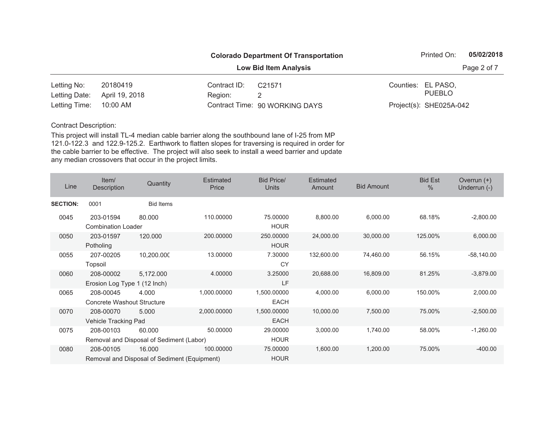|                        |                | <b>Colorado Department Of Transportation</b> |                                |  |                         |             |  |
|------------------------|----------------|----------------------------------------------|--------------------------------|--|-------------------------|-------------|--|
|                        |                |                                              | <b>Low Bid Item Analysis</b>   |  |                         | Page 2 of 7 |  |
| Letting No:            | 20180419       | Contract ID:                                 | C21571                         |  | Counties: EL PASO,      |             |  |
| Letting Date:          | April 19, 2018 | Region:                                      |                                |  | PUEBLO                  |             |  |
| Letting Time: 10:00 AM |                |                                              | Contract Time: 90 WORKING DAYS |  | Project(s): SHE025A-042 |             |  |

| Line            | Item/<br>Description                           | Quantity                                               | Estimated<br>Price | <b>Bid Price/</b><br>Units | <b>Estimated</b><br>Amount | <b>Bid Amount</b> | <b>Bid Est</b><br>$\frac{0}{0}$ | Overrun $(+)$<br>Underrun (-) |
|-----------------|------------------------------------------------|--------------------------------------------------------|--------------------|----------------------------|----------------------------|-------------------|---------------------------------|-------------------------------|
| <b>SECTION:</b> | 0001                                           | <b>Bid Items</b>                                       |                    |                            |                            |                   |                                 |                               |
| 0045            | 203-01594<br><b>Combination Loader</b>         | 80.000                                                 | 110.00000          | 75.00000<br><b>HOUR</b>    | 8,800.00                   | 6,000.00          | 68.18%                          | $-2,800.00$                   |
| 0050            | 203-01597<br>Potholing                         | 120.000                                                | 200.00000          | 250.00000<br><b>HOUR</b>   | 24,000.00                  | 30,000.00         | 125.00%                         | 6,000.00                      |
| 0055            | 207-00205<br>Topsoil                           | 10,200.000                                             | 13.00000           | 7.30000<br><b>CY</b>       | 132,600.00                 | 74,460.00         | 56.15%                          | $-58,140.00$                  |
| 0060            | 208-00002<br>Erosion Log Type 1 (12 Inch)      | 5,172.000                                              | 4.00000            | 3.25000<br>LF              | 20,688.00                  | 16,809.00         | 81.25%                          | $-3,879.00$                   |
| 0065            | 208-00045<br><b>Concrete Washout Structure</b> | 4.000                                                  | 1,000.00000        | 1,500.00000<br><b>EACH</b> | 4,000.00                   | 6,000.00          | 150.00%                         | 2,000.00                      |
| 0070            | 208-00070<br>Vehicle Tracking Pad              | 5.000                                                  | 2,000.00000        | 1,500.00000<br><b>EACH</b> | 10,000.00                  | 7,500.00          | 75.00%                          | $-2,500.00$                   |
| 0075            | 208-00103                                      | 60.000<br>Removal and Disposal of Sediment (Labor)     | 50.00000           | 29.00000<br><b>HOUR</b>    | 3,000.00                   | 1,740.00          | 58.00%                          | $-1,260.00$                   |
| 0080            | 208-00105                                      | 16.000<br>Removal and Disposal of Sediment (Equipment) | 100.00000          | 75.00000<br><b>HOUR</b>    | 1,600.00                   | 1,200.00          | 75.00%                          | $-400.00$                     |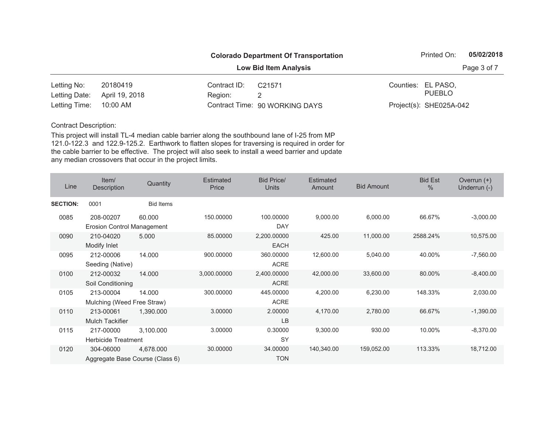|                        |                | <b>Colorado Department Of Transportation</b> |                                |  |                         |             |  |
|------------------------|----------------|----------------------------------------------|--------------------------------|--|-------------------------|-------------|--|
|                        |                |                                              | <b>Low Bid Item Analysis</b>   |  |                         | Page 3 of 7 |  |
| Letting No:            | 20180419       | Contract ID:                                 | C21571                         |  | Counties: EL PASO,      |             |  |
| Letting Date:          | April 19, 2018 | Region:                                      |                                |  | PUEBLO                  |             |  |
| Letting Time: 10:00 AM |                |                                              | Contract Time: 90 WORKING DAYS |  | Project(s): SHE025A-042 |             |  |

| Line            | Item/<br>Description                           | Quantity         | <b>Estimated</b><br>Price | <b>Bid Price/</b><br><b>Units</b> | <b>Estimated</b><br>Amount | <b>Bid Amount</b> | <b>Bid Est</b><br>$\%$ | Overrun $(+)$<br>Underrun (-) |
|-----------------|------------------------------------------------|------------------|---------------------------|-----------------------------------|----------------------------|-------------------|------------------------|-------------------------------|
| <b>SECTION:</b> | 0001                                           | <b>Bid Items</b> |                           |                                   |                            |                   |                        |                               |
| 0085            | 208-00207<br><b>Erosion Control Management</b> | 60.000           | 150.00000                 | 100.00000<br><b>DAY</b>           | 9,000.00                   | 6,000.00          | 66.67%                 | $-3,000.00$                   |
| 0090            | 210-04020<br>Modify Inlet                      | 5.000            | 85.00000                  | 2,200.00000<br><b>EACH</b>        | 425.00                     | 11,000.00         | 2588.24%               | 10,575.00                     |
| 0095            | 212-00006<br>Seeding (Native)                  | 14.000           | 900.00000                 | 360.00000<br><b>ACRE</b>          | 12,600.00                  | 5,040.00          | 40.00%                 | $-7,560.00$                   |
| 0100            | 212-00032<br>Soil Conditioning                 | 14.000           | 3,000.00000               | 2,400.00000<br><b>ACRE</b>        | 42,000.00                  | 33,600.00         | 80.00%                 | $-8,400.00$                   |
| 0105            | 213-00004<br>Mulching (Weed Free Straw)        | 14.000           | 300.00000                 | 445.00000<br><b>ACRE</b>          | 4,200.00                   | 6,230.00          | 148.33%                | 2,030.00                      |
| 0110            | 213-00061<br><b>Mulch Tackifier</b>            | 1,390.000        | 3.00000                   | 2.00000<br><b>LB</b>              | 4,170.00                   | 2,780.00          | 66.67%                 | $-1,390.00$                   |
| 0115            | 217-00000<br><b>Herbicide Treatment</b>        | 3,100.000        | 3.00000                   | 0.30000<br><b>SY</b>              | 9,300.00                   | 930.00            | 10.00%                 | $-8,370.00$                   |
| 0120            | 304-06000<br>Aggregate Base Course (Class 6)   | 4,678.000        | 30.00000                  | 34.00000<br><b>TON</b>            | 140,340.00                 | 159,052.00        | 113.33%                | 18,712.00                     |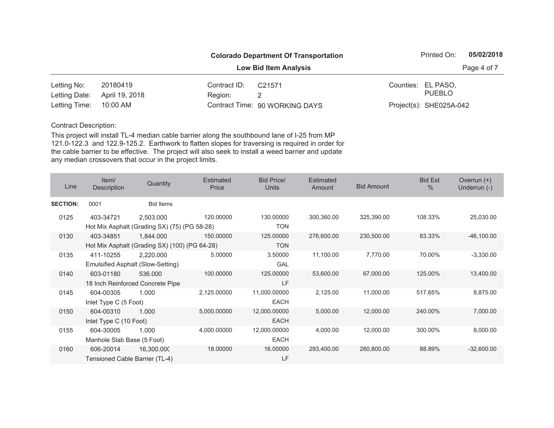|                        |                |              | <b>Colorado Department Of Transportation</b> | Printed On:             | 05/02/2018  |
|------------------------|----------------|--------------|----------------------------------------------|-------------------------|-------------|
|                        |                |              | <b>Low Bid Item Analysis</b>                 |                         | Page 4 of 7 |
| Letting No:            | 20180419       | Contract ID: | C21571                                       | Counties: EL PASO,      |             |
| Letting Date:          | April 19, 2018 | Region:      |                                              | PUEBLO                  |             |
| Letting Time: 10:00 AM |                |              | Contract Time: 90 WORKING DAYS               | Project(s): SHE025A-042 |             |

| Line            | Item/<br>Description                        | Quantity                                                   | <b>Estimated</b><br>Price | <b>Bid Price/</b><br><b>Units</b> | <b>Estimated</b><br>Amount | <b>Bid Amount</b> | <b>Bid Est</b><br>$\frac{0}{0}$ | Overrun $(+)$<br>Underrun (-) |
|-----------------|---------------------------------------------|------------------------------------------------------------|---------------------------|-----------------------------------|----------------------------|-------------------|---------------------------------|-------------------------------|
| <b>SECTION:</b> | 0001                                        | <b>Bid Items</b>                                           |                           |                                   |                            |                   |                                 |                               |
| 0125            | 403-34721                                   | 2,503.000<br>Hot Mix Asphalt (Grading SX) (75) (PG 58-28)  | 120.00000                 | 130.00000<br><b>TON</b>           | 300,360.00                 | 325,390.00        | 108.33%                         | 25,030.00                     |
| 0130            | 403-34851                                   | 1,844.000<br>Hot Mix Asphalt (Grading SX) (100) (PG 64-28) | 150.00000                 | 125.00000<br><b>TON</b>           | 276,600.00                 | 230,500.00        | 83.33%                          | $-46,100.00$                  |
| 0135            | 411-10255                                   | 2,220.000<br>Emulsified Asphalt (Slow-Setting)             | 5.00000                   | 3.50000<br>GAL                    | 11,100.00                  | 7,770.00          | 70.00%                          | $-3,330.00$                   |
| 0140            | 603-01180                                   | 536.000<br>18 Inch Reinforced Concrete Pipe                | 100.00000                 | 125.00000<br>LF                   | 53,600.00                  | 67,000.00         | 125.00%                         | 13,400.00                     |
| 0145            | 604-00305<br>Inlet Type C (5 Foot)          | 1.000                                                      | 2,125,00000               | 11,000.00000<br><b>EACH</b>       | 2,125.00                   | 11,000.00         | 517.65%                         | 8,875.00                      |
| 0150            | 604-00310<br>Inlet Type C (10 Foot)         | 1.000                                                      | 5,000.00000               | 12,000.00000<br><b>EACH</b>       | 5,000.00                   | 12,000.00         | 240.00%                         | 7,000.00                      |
| 0155            | 604-30005<br>Manhole Slab Base (5 Foot)     | 1.000                                                      | 4,000.00000               | 12,000.00000<br><b>EACH</b>       | 4,000.00                   | 12,000.00         | 300.00%                         | 8,000.00                      |
| 0160            | 606-20014<br>Tensioned Cable Barrier (TL-4) | 16,300.000                                                 | 18.00000                  | 16.00000<br>LF                    | 293,400.00                 | 260,800.00        | 88.89%                          | $-32,600.00$                  |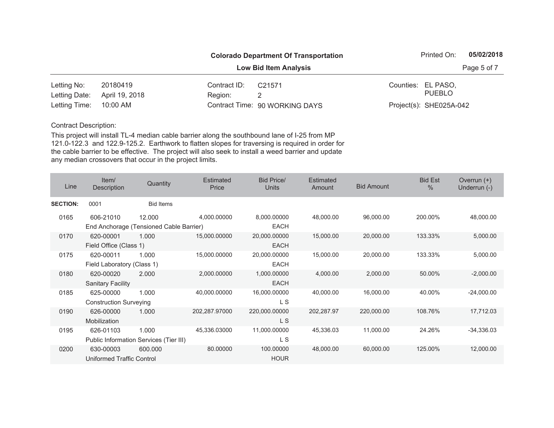|                        |                              |              | <b>Colorado Department Of Transportation</b> |  | Printed On:             | 05/02/2018  |
|------------------------|------------------------------|--------------|----------------------------------------------|--|-------------------------|-------------|
|                        | <b>Low Bid Item Analysis</b> |              |                                              |  |                         | Page 5 of 7 |
| Letting No:            | 20180419                     | Contract ID: | C21571                                       |  | Counties: EL PASO,      |             |
| Letting Date:          | April 19, 2018               | Region:      |                                              |  | <b>PUEBLO</b>           |             |
| Letting Time: 10:00 AM |                              |              | Contract Time: 90 WORKING DAYS               |  | Project(s): SHE025A-042 |             |

| Line            | Item/<br>Description          | Quantity                                | Estimated<br>Price | <b>Bid Price/</b><br>Units | <b>Estimated</b><br>Amount | <b>Bid Amount</b> | <b>Bid Est</b><br>$\frac{0}{0}$ | Overrun $(+)$<br>Underrun (-) |
|-----------------|-------------------------------|-----------------------------------------|--------------------|----------------------------|----------------------------|-------------------|---------------------------------|-------------------------------|
| <b>SECTION:</b> | 0001                          | <b>Bid Items</b>                        |                    |                            |                            |                   |                                 |                               |
| 0165            | 606-21010                     | 12.000                                  | 4,000.00000        | 8,000.00000                | 48,000.00                  | 96,000.00         | 200.00%                         | 48,000.00                     |
|                 |                               | End Anchorage (Tensioned Cable Barrier) |                    | <b>EACH</b>                |                            |                   |                                 |                               |
| 0170            | 620-00001                     | 1.000                                   | 15,000.00000       | 20,000.00000               | 15,000.00                  | 20,000.00         | 133.33%                         | 5,000.00                      |
|                 | Field Office (Class 1)        |                                         |                    | <b>EACH</b>                |                            |                   |                                 |                               |
| 0175            | 620-00011                     | 1.000                                   | 15,000.00000       | 20,000.00000               | 15,000.00                  | 20,000.00         | 133.33%                         | 5,000.00                      |
|                 | Field Laboratory (Class 1)    |                                         |                    | <b>EACH</b>                |                            |                   |                                 |                               |
| 0180            | 620-00020                     | 2.000                                   | 2,000.00000        | 1,000.00000                | 4,000.00                   | 2,000.00          | 50.00%                          | $-2,000.00$                   |
|                 | <b>Sanitary Facility</b>      |                                         |                    | <b>EACH</b>                |                            |                   |                                 |                               |
| 0185            | 625-00000                     | 1.000                                   | 40,000.00000       | 16,000.00000               | 40,000.00                  | 16,000.00         | 40.00%                          | $-24,000.00$                  |
|                 | <b>Construction Surveying</b> |                                         |                    | L S                        |                            |                   |                                 |                               |
| 0190            | 626-00000                     | 1.000                                   | 202,287.97000      | 220,000.00000              | 202,287.97                 | 220,000.00        | 108.76%                         | 17,712.03                     |
|                 | Mobilization                  |                                         |                    | L S                        |                            |                   |                                 |                               |
| 0195            | 626-01103                     | 1.000                                   | 45,336.03000       | 11,000.00000               | 45,336.03                  | 11,000.00         | 24.26%                          | $-34,336.03$                  |
|                 |                               | Public Information Services (Tier III)  |                    | L S                        |                            |                   |                                 |                               |
| 0200            | 630-00003                     | 600.000                                 | 80.00000           | 100.00000                  | 48,000.00                  | 60,000.00         | 125.00%                         | 12,000.00                     |
|                 | Uniformed Traffic Control     |                                         |                    | <b>HOUR</b>                |                            |                   |                                 |                               |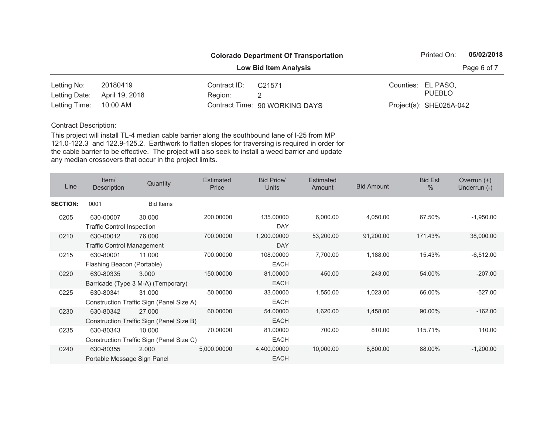|                        |                |              | <b>Colorado Department Of Transportation</b> | Printed On:             | 05/02/2018  |
|------------------------|----------------|--------------|----------------------------------------------|-------------------------|-------------|
|                        |                |              | <b>Low Bid Item Analysis</b>                 |                         | Page 6 of 7 |
| Letting No:            | 20180419       | Contract ID: | C21571                                       | Counties: EL PASO,      |             |
| Letting Date:          | April 19, 2018 | Region:      |                                              | PUEBLO                  |             |
| Letting Time: 10:00 AM |                |              | Contract Time: 90 WORKING DAYS               | Project(s): SHE025A-042 |             |

| Line            | Item/<br>Description                           | Quantity                                           | <b>Estimated</b><br>Price | <b>Bid Price/</b><br><b>Units</b> | Estimated<br>Amount | <b>Bid Amount</b> | <b>Bid Est</b><br>$\%$ | Overrun $(+)$<br>Underrun (-) |
|-----------------|------------------------------------------------|----------------------------------------------------|---------------------------|-----------------------------------|---------------------|-------------------|------------------------|-------------------------------|
| <b>SECTION:</b> | 0001                                           | <b>Bid Items</b>                                   |                           |                                   |                     |                   |                        |                               |
| 0205            | 630-00007<br><b>Traffic Control Inspection</b> | 30.000                                             | 200.00000                 | 135.00000<br><b>DAY</b>           | 6,000.00            | 4,050.00          | 67.50%                 | $-1,950.00$                   |
| 0210            | 630-00012<br><b>Traffic Control Management</b> | 76,000                                             | 700.00000                 | 1,200.00000<br><b>DAY</b>         | 53,200.00           | 91,200.00         | 171.43%                | 38,000.00                     |
| 0215            | 630-80001<br>Flashing Beacon (Portable)        | 11.000                                             | 700.00000                 | 108.00000<br><b>EACH</b>          | 7,700.00            | 1,188.00          | 15.43%                 | $-6,512.00$                   |
| 0220            | 630-80335                                      | 3.000<br>Barricade (Type 3 M-A) (Temporary)        | 150.00000                 | 81.00000<br><b>EACH</b>           | 450.00              | 243.00            | 54.00%                 | $-207.00$                     |
| 0225            | 630-80341                                      | 31.000<br>Construction Traffic Sign (Panel Size A) | 50.00000                  | 33.00000<br><b>EACH</b>           | 1,550.00            | 1,023.00          | 66.00%                 | $-527.00$                     |
| 0230            | 630-80342                                      | 27,000<br>Construction Traffic Sign (Panel Size B) | 60.00000                  | 54.00000<br><b>EACH</b>           | 1,620.00            | 1,458.00          | 90.00%                 | $-162.00$                     |
| 0235            | 630-80343                                      | 10.000<br>Construction Traffic Sign (Panel Size C) | 70.00000                  | 81.00000<br><b>EACH</b>           | 700.00              | 810.00            | 115.71%                | 110.00                        |
| 0240            | 630-80355<br>Portable Message Sign Panel       | 2.000                                              | 5,000.00000               | 4,400.00000<br><b>EACH</b>        | 10,000.00           | 8,800.00          | 88.00%                 | $-1,200.00$                   |